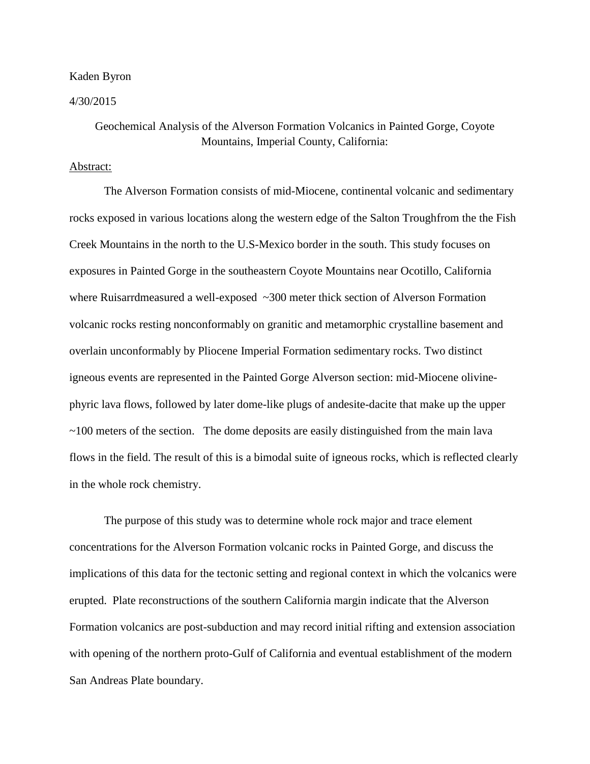## Kaden Byron

4/30/2015

## Geochemical Analysis of the Alverson Formation Volcanics in Painted Gorge, Coyote Mountains, Imperial County, California:

## Abstract:

The Alverson Formation consists of mid-Miocene, continental volcanic and sedimentary rocks exposed in various locations along the western edge of the Salton Troughfrom the the Fish Creek Mountains in the north to the U.S-Mexico border in the south. This study focuses on exposures in Painted Gorge in the southeastern Coyote Mountains near Ocotillo, California where Ruisarrdmeasured a well-exposed ~300 meter thick section of Alverson Formation volcanic rocks resting nonconformably on granitic and metamorphic crystalline basement and overlain unconformably by Pliocene Imperial Formation sedimentary rocks. Two distinct igneous events are represented in the Painted Gorge Alverson section: mid-Miocene olivinephyric lava flows, followed by later dome-like plugs of andesite-dacite that make up the upper ~100 meters of the section. The dome deposits are easily distinguished from the main lava flows in the field. The result of this is a bimodal suite of igneous rocks, which is reflected clearly in the whole rock chemistry.

The purpose of this study was to determine whole rock major and trace element concentrations for the Alverson Formation volcanic rocks in Painted Gorge, and discuss the implications of this data for the tectonic setting and regional context in which the volcanics were erupted. Plate reconstructions of the southern California margin indicate that the Alverson Formation volcanics are post-subduction and may record initial rifting and extension association with opening of the northern proto-Gulf of California and eventual establishment of the modern San Andreas Plate boundary.